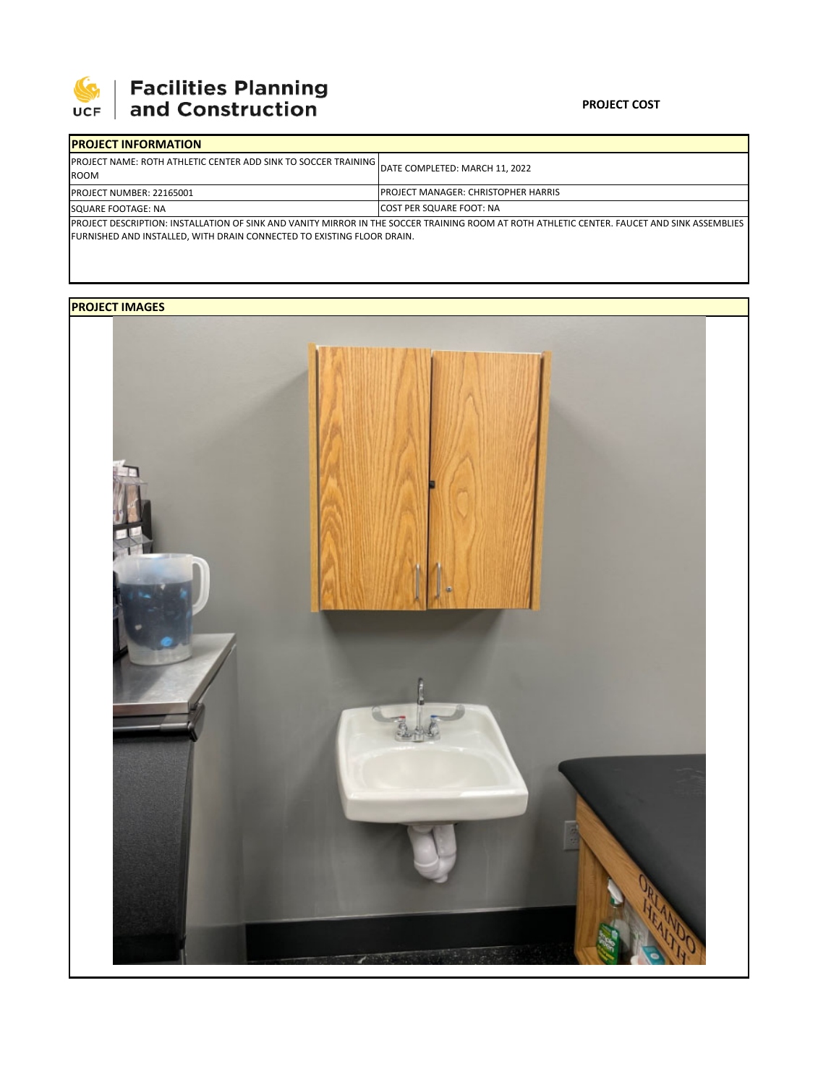

## 

| <b>IPROJECT INFORMATION</b>                                                                                                                                                                                            |                                             |  |  |  |
|------------------------------------------------------------------------------------------------------------------------------------------------------------------------------------------------------------------------|---------------------------------------------|--|--|--|
| <b>IPROJECT NAME: ROTH ATHLETIC CENTER ADD SINK TO SOCCER TRAINING I</b><br><b>ROOM</b>                                                                                                                                | DATE COMPLETED: MARCH 11, 2022              |  |  |  |
| <b>PROJECT NUMBER: 22165001</b>                                                                                                                                                                                        | <b>IPROJECT MANAGER: CHRISTOPHER HARRIS</b> |  |  |  |
| SQUARE FOOTAGE: NA                                                                                                                                                                                                     | <b>ICOST PER SQUARE FOOT: NA</b>            |  |  |  |
| IPROJECT DESCRIPTION: INSTALLATION OF SINK AND VANITY MIRROR IN THE SOCCER TRAINING ROOM AT ROTH ATHLETIC CENTER. FAUCET AND SINK ASSEMBLIES<br>FURNISHED AND INSTALLED, WITH DRAIN CONNECTED TO EXISTING FLOOR DRAIN. |                                             |  |  |  |

**PROJECT IMAGES**